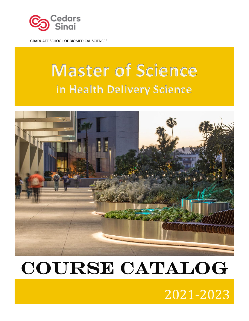

GRADUATE SCHOOL OF BIOMEDICAL SCIENCES

# **Master of Science in Health Delivery Science**



# COURSE CATALOG

# 2021-2023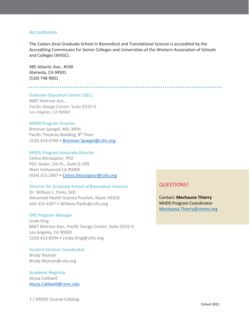## Accreditation

The Cedars-Sinai Graduate School in Biomedical and Translational Science is accredited by the Accrediting Commission for Senior Colleges and Universities of the Western Association of Schools and Colleges (WASC).

985 Atlantic Ave., #100 Alameda, CA 94501 (510) 748-9001

Graduate Education Center (GEC) 8687 Melrose Ave., Pacific Design Center, Suite G532-G Los Angeles, CA 90069

### MHDS Program Director

Brennan Spiegel, MD, MPH Pacific Theatres Building, 8<sup>th</sup> Floor (310) 423-6784 • [Brennan.Spiegel@cshs.org](mailto:Brennan.Spiegel@cshs.org)

#### MHDS Program Associate Director

Celina Shirazipour, PhD PDC Green, 5th FL., Suite G-599 West Hollywood CA 90069 (424) 315-2807 • [Celina.Shirazipour@cshs.org](mailto:Celina.Shirazipour@cshs.org)

## Director for Graduate School of Biomedical Sciences

Dr. William C. Parks, MD Advanced Health Science Pavilion, Room A9318 424-315-4307 • [Willaim.Parks@cshs.org](mailto:Willaim.parks@cshs.org)

#### GRE Program Manager

Linda King 8687 Melrose Ave., Pacific Design Center, Suite G532-G Los Angeles, CA 90069 (310) 423-8294 • [Linda.King@cshs.org](mailto:Linda.King@cshs.org)

## Student Services Coordinator

Brody Wyman Brody.Wyman@cshs.org

Academic Registrar Alysia Caldwell [Alysia.Caldwell@csmc.edu](mailto:Alysia.Caldwell@csmc.edu)

## 1 / MHDS Course Catalog

## QUESTIONS?

Contact: **Mechauna Thierry** MHDS Program Coordinator [Mechauna.Thierry@csmns.org](mailto:Mechauna.Thierry@csmns.org)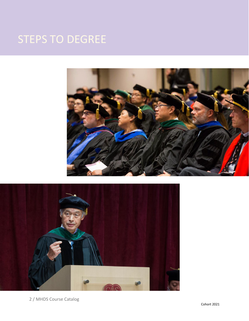## STEPS TO DEGREE





2 / MHDS Course Catalog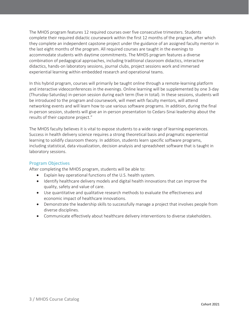The MHDS program features 12 required courses over five consecutive trimesters. Students complete their required didactic coursework within the first 12 months of the program, after which they complete an independent capstone project under the guidance of an assigned faculty mentor in the last eight months of the program. All required courses are taught in the evenings to accommodate students with daytime commitments. The MHDS program features a diverse combination of pedagogical approaches, including traditional classroom didactics, interactive didactics, hands-on laboratory sessions, journal clubs, project sessions work and immersed experiential learning within embedded research and operational teams.

In this hybrid program, courses will primarily be taught online through a remote-learning platform and interactive videoconferences in the evenings. Online learning will be supplemented by one 3-day (Thursday-Saturday) in-person session during each term (five in total). In these sessions, students will be introduced to the program and coursework, will meet with faculty mentors, will attend networking events and will learn how to use various software programs. In addition, during the final in-person session, students will give an in-person presentation to Cedars-Sinai leadership about the results of their capstone project."

The MHDS faculty believes it is vital to expose students to a wide range of learning experiences. Success in health delivery science requires a strong theoretical basis and pragmatic experiential learning to solidify classroom theory. In addition, students learn specific software programs, including statistical, data visualization, decision analysis and spreadsheet software that is taught in laboratory sessions.

## Program Objectives

After completing the MHDS program, students will be able to:

- Explain key operational functions of the U.S. health system.
- Identify healthcare delivery models and digital health innovations that can improve the quality, safety and value of care.
- Use quantitative and qualitative research methods to evaluate the effectiveness and economic impact of healthcare innovations.
- Demonstrate the leadership skills to successfully manage a project that involves people from diverse disciplines.
- Communicate effectively about healthcare delivery interventions to diverse stakeholders.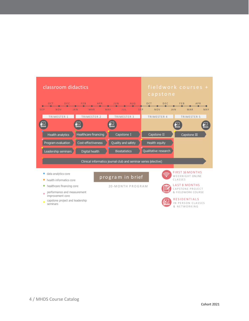

capstone project and leadership seminars

& NETWORKING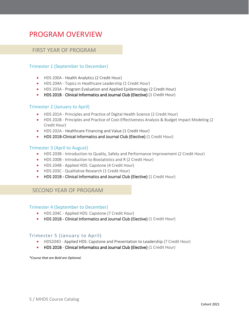## PROGRAM OVERVIEW

## FIRST YEAR OF PROGRAM

## Trimester 1 (September to December)

- HDS 200A Health Analytics (2 Credit Hour)
- HDS 204A Topics in Healthcare Leadership (1 Credit Hour)
- HDS 203A Program Evaluation and Applied Epidemiology (2 Credit Hour)
- HDS 201B Clinical Informatics and Journal Club (Elective) (1 Credit Hour)

## Trimester 2 (January to April)

- HDS 201A Principles and Practice of Digital Health Science (2 Credit Hour)
- HDS 202B Principles and Practice of Cost-Effectiveness Analysis & Budget Impact Modeling (2 Credit Hour)
- HDS 202A Healthcare Financing and Value (1 Credit Hour)
- HDS 201B-Clinical Informatics and Journal Club (Elective) (1 Credit Hour)

## Trimester 3 (April to August)

- HDS 203B Introduction to Quality, Safety and Performance Improvement (2 Credit Hour)
- HDS 200B Introduction to Biostatistics and R (2 Credit Hour)
- HDS 204B Applied HDS: Capstone (4 Credit Hour)
- HDS 203C Qualitative Research (1 Credit Hour)
- HDS 201B Clinical Informatics and Journal Club (Elective) (1 Credit Hour)

## SECOND YEAR OF PROGRAM

### Trimester 4 (September to December)

- HDS 204C Applied HDS: Capstone (7 Credit Hour)
- HDS 201B Clinical Informatics and Journal Club (Elective) (1 Credit Hour)

## Trimester 5 (January to April)

- HDS204D Applied HDS: Capstone and Presentation to Leadership (7 Credit Hour)
- HDS 201B Clinical Informatics and Journal Club (Elective) (1 Credit Hour)

*\*Course that are Bold are Optional.*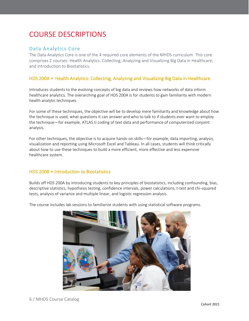## COURSE DESCRIPTIONS

## Data Analytics Core

The Data Analytics Core is one of the 4 required core elements of the MHDS curriculum. This core comprises 2 courses: Health Analytics: Collecting, Analyzing and Visualizing Big Data in Healthcare; and Introduction to Biostatistics.

## HDS 200A • Health Analytics: Collecting, Analyzing and Visualizing Big Data in Healthcare

Introduces students to the evolving concepts of big data and reviews how networks of data inform healthcare analytics. The overarching goal of HDS 200A is for students to gain familiarity with modern health analytic techniques.

For some of these techniques, the objective will be to develop mere familiarity and knowledge about how the technique is used, what questions it can answer and who to talk to if students ever want to employ the technique—for example, ATLAS.ti coding of text data and performance of computerized conjoint analysis.

For other techniques, the objective is to acquire hands-on skills—for example, data importing, analysis, visualization and reporting using Microsoft Excel and Tableau. In all cases, students will think critically about how to use these techniques to build a more efficient, more effective and less expensive healthcare system.

## HDS 200B • Introduction to Biostatistics

Builds off HDS 200A by introducing students to key principles of biostatistics, including confounding, bias, descriptive statistics, hypothesis testing, confidence intervals, power calculations, t-test and chi-squared tests, analysis of variance and multiple linear, and logistic regression analysis.

The course includes lab sessions to familiarize students with using statistical software programs.

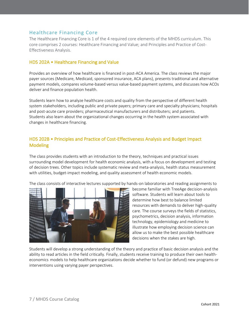## Healthcare Financing Core

The Healthcare Financing Core is 1 of the 4 required core elements of the MHDS curriculum. This core comprises 2 courses: Healthcare Financing and Value; and Principles and Practice of Cost-Effectiveness Analysis.

## HDS 202A • Healthcare Financing and Value

Provides an overview of how healthcare is financed in post-ACA America. The class reviews the major payer sources (Medicare, Medicaid, sponsored insurance, ACA plans), presents traditional and alternative payment models, compares volume-based versus value-based payment systems, and discusses how ACOs deliver and finance population health.

Students learn how to analyze healthcare costs and quality from the perspective of different health system stakeholders, including public and private payers; primary care and specialty physicians; hospitals and post-acute care providers; pharmaceutical manufacturers and distributers; and patients. Students also learn about the organizational changes occurring in the health system associated with changes in healthcare financing.

## HDS 202B • Principles and Practice of Cost-Effectiveness Analysis and Budget Impact **Modeling**

The class provides students with an introduction to the theory, techniques and practical issues surrounding model development for health economic analysis, with a focus on development and testing of decision trees. Other topics include systematic review and meta-analysis, health status measurement with utilities, budget-impact modeling, and quality assessment of health economic models.

The class consists of interactive lectures supported by hands-on laboratories and reading assignments to



become familiar with TreeAge decision-analysis software. Students will learn about tools to determine how best to balance limited resources with demands to deliver high-quality care. The course surveys the fields of statistics, psychometrics, decision analysis, information technology, epidemiology and medicine to illustrate how employing decision science can allow us to make the best possible healthcare decisions when the stakes are high.

Students will develop a strong understanding of the theory and practice of basic decision analysis and the ability to read articles in the field critically. Finally, students receive training to produce their own healtheconomics models to help healthcare organizations decide whether to fund (or defund) new programs or interventions using varying payer perspectives.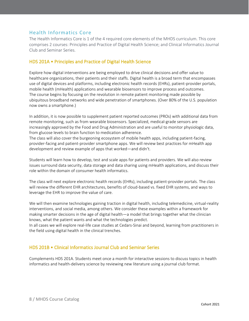## Health Informatics Core

The Health Informatics Core is 1 of the 4 required core elements of the MHDS curriculum. This core comprises 2 courses: Principles and Practice of Digital Health Science; and Clinical Informatics Journal Club and Seminar Series.

## HDS 201A • Principles and Practice of Digital Health Science

Explore how digital interventions are being employed to drive clinical decisions and offer value to healthcare organizations, their patients and their staffs. Digital health is a broad term that encompasses use of digital devices and platforms, including electronic health records (EHRs), patient-provider portals, mobile health (mHealth) applications and wearable biosensors to improve process and outcomes. The course begins by focusing on the revolution in remote patient monitoring made possible by ubiquitous broadband networks and wide penetration of smartphones. (Over 80% of the U.S. population now owns a smartphone.)

In addition, it is now possible to supplement patient reported outcomes (PROs) with additional data from remote monitoring, such as from wearable biosensors. Specialized, medical-grade sensors are increasingly approved by the Food and Drug Administration and are useful to monitor physiologic data, from glucose levels to brain function to medication adherence.

The class will also cover the burgeoning ecosystem of mobile health apps, including patient-facing, provider-facing and patient-provider smartphone apps. We will review best practices for mHealth app development and review example of apps that worked—and didn't.

Students will learn how to develop, test and scale apps for patients and providers. We will also review issues surround data security, data storage and data sharing using mHealth applications, and discuss their role within the domain of consumer health informatics.

The class will next explore electronic health records (EHRs), including patient-provider portals. The class will review the different EHR architectures, benefits of cloud-based vs. fixed EHR systems, and ways to leverage the EHR to improve the value of care.

We will then examine technologies gaining traction in digital health, including telemedicine, virtual-reality interventions, and social media, among others. We consider these examples within a framework for making smarter decisions in the age of digital health—a model that brings together what the clinician knows, what the patient wants and what the technologies predict.

In all cases we will explore real-life case studies at Cedars-Sinai and beyond, learning from practitioners in the field using digital health in the clinical trenches.

## HDS 201B • Clinical Informatics Journal Club and Seminar Series

Complements HDS 201A. Students meet once a month for interactive sessions to discuss topics in health informatics and health-delivery science by reviewing new literature using a journal club format.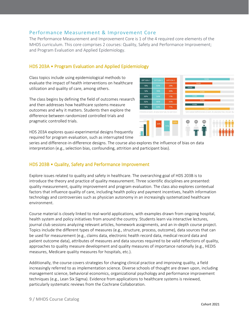## Performance Measurement & Improvement Core

The Performance Measurement and Improvement Core is 1 of the 4 required core elements of the MHDS curriculum. This core comprises 2 courses: Quality, Safety and Performance Improvement; and Program Evaluation and Applied Epidemiology.

OPTION 1

## HDS 203A • Program Evaluation and Applied Epidemiology

Class topics include using epidemiological methods to evaluate the impact of health interventions on healthcare utilization and quality of care, among others.

The class begins by defining the field of outcomes research and then addresses how healthcare systems measure outcomes and why it matters. Students then explore the difference between randomized controlled trials and pragmatic controlled trials.

HDS 203A explores quasi-experimental designs frequently required for program evaluation, such as interrupted time



**OPTION:** 

series and difference-in-difference designs. The course also explores the influence of bias on data interpretation (e.g., selection bias, confounding, attrition and participant bias).

## HDS 203B • Quality, Safety and Performance Improvement

Explore issues related to quality and safety in healthcare. The overarching goal of HDS 203B is to introduce the theory and practice of quality measurement. Three scientific disciplines are presented: quality measurement, quality improvement and program evaluation. The class also explores contextual factors that influence quality of care, including health policy and payment incentives, health information technology and controversies such as physician autonomy in an increasingly systematized healthcare environment.

Course material is closely linked to real-world applications, with examples drawn from ongoing hospital, health system and policy initiatives from around the country. Students learn via interactive lectures, journal club sessions analyzing relevant articles, homework assignments, and an in-depth course project. Topics include the different types of measures (e.g., structure, process, outcome), data sources that can be used for measurement (e.g., claims data, electronic health record data, medical record data and patient outcome data), attributes of measures and data sources required to be valid reflections of quality, approaches to quality measure development and quality measures of importance nationally (e.g., HEDIS measures, Medicare quality measures for hospitals, etc.).

Additionally, the course covers strategies for changing clinical practice and improving quality, a field increasingly referred to as implementation science. Diverse schools of thought are drawn upon, including management science, behavioral economics, organizational psychology and performance improvement techniques (e.g., Lean Six Sigma). Evidence from applications to healthcare systems is reviewed, particularly systematic reviews from the Cochrane Collaboration.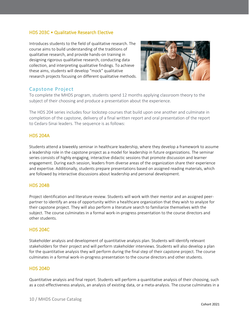## HDS 203C • Qualitative Research Elective

Introduces students to the field of qualitative research. The course aims to build understanding of the traditions of qualitative research, and provide hands-on training in designing rigorous qualitative research, conducting data collection, and interpreting qualitative findings. To achieve these aims, students will develop "mock" qualitative research projects focusing on different qualitative methods.



## Capstone Project

To complete the MHDS program, students spend 12 months applying classroom theory to the subject of their choosing and produce a presentation about the experience.

The HDS 204 series includes four lockstep courses that build upon one another and culminate in completion of the capstone, delivery of a final written report and oral presentation of the report to Cedars-Sinai leaders. The sequence is as follows:

## HDS 204A

Students attend a biweekly seminar in healthcare leadership, where they develop a framework to assume a leadership role in the capstone project as a model for leadership in future organizations. The seminar series consists of highly engaging, interactive didactic sessions that promote discussion and learner engagement. During each session, leaders from diverse areas of the organization share their experience and expertise. Additionally, students prepare presentations based on assigned reading materials, which are followed by interactive discussions about leadership and personal development.

## HDS 204B

Project identification and literature review. Students will work with their mentor and an assigned peerpartner to identify an area of opportunity within a healthcare organization that they wish to analyze for their capstone project. They will also perform a literature search to familiarize themselves with the subject. The course culminates in a formal work-in-progress presentation to the course directors and other students.

## HDS 204C

Stakeholder analysis and development of quantitative analysis plan. Students will identify relevant stakeholders for their project and will perform stakeholder interviews. Students will also develop a plan for the quantitative analysis they will perform during the final step of their capstone project. The course culminates in a formal work-in-progress presentation to the course directors and other students.

## HDS 204D

Quantitative analysis and final report. Students will perform a quantitative analysis of their choosing, such as a cost-effectiveness analysis, an analysis of existing data, or a meta-analysis. The course culminates in a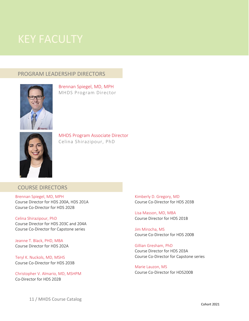## and selected health system leaders. The presentation is open to the entire health system in a public-

## PROGRAM LEADERSHIP DIRECTORS



[Brennan](https://www.cedars-sinai.edu/Research/Faculty-Directory/Bios/Debiao-Li-PhD.aspx) Spiegel, MD, MPH MHDS Program Director



MHDS Program Associate Director Celina Shirazipour, PhD

## COURSE DIRECTORS

Brennan Spiegel, MD, MPH Course Director for HDS 200A, HDS 201A Course Co-Director for HDS 202B

Celina Shirazipour, PhD Course Director for HDS 203C and 204A Course Co-Director for Capstone series

Jeanne T. Black, PHD, MBA Course Director for HDS 202A

Teryl K. Nuckols, MD, MSHS Course Co-Director for HDS 203B

Christopher V. Almario, MD, MSHPM Co-Director for HDS 202B

Kimberly D. Gregory, MD Course Co-Director for HDS 203B

Lisa Masson, MD, MBA Course Director for HDS 201B

Jim Mirocha, MS Course Co-Director for HDS 200B

Gillian Gresham, PhD Course Director for HDS 203A Course Co-Director for Capstone series

Marie Lauzon, MS Course Co‐Director for HDS200B

11 / MHDS Course Catalog